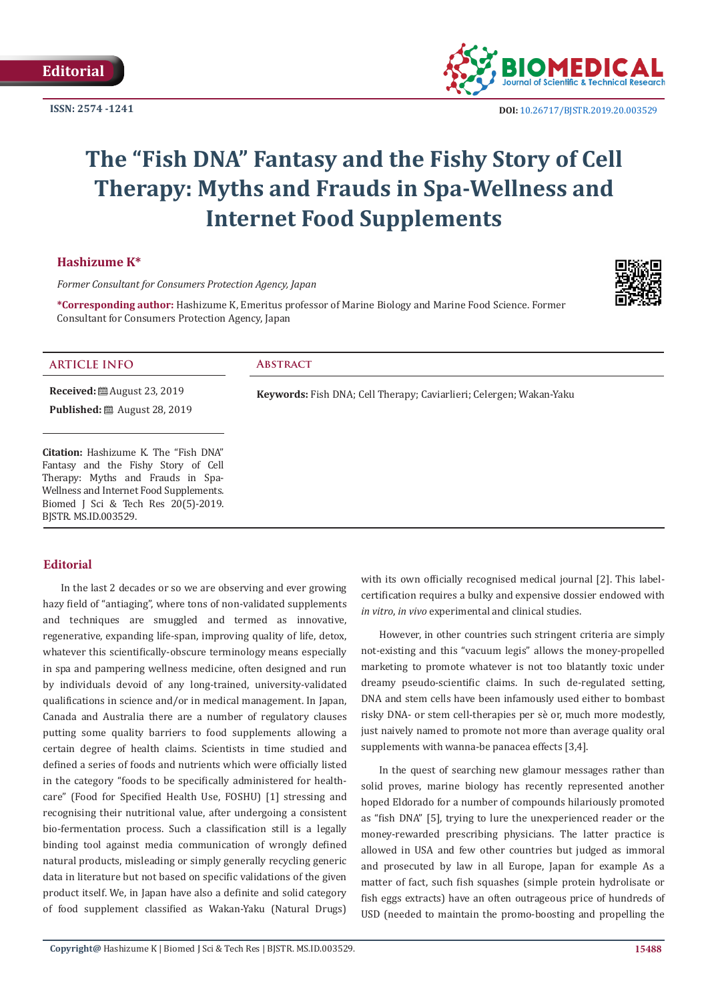**ISSN: 2574 -1241**



 **DOI:** [10.26717/BJSTR.2019.20.003529](http://dx.doi.org/10.26717/BJSTR.2019.20.003529)

# **The "Fish DNA" Fantasy and the Fishy Story of Cell Therapy: Myths and Frauds in Spa-Wellness and Internet Food Supplements**

### **Hashizume K\***

*Former Consultant for Consumers Protection Agency, Japan*

**\*Corresponding author:** Hashizume K, Emeritus professor of Marine Biology and Marine Food Science. Former Consultant for Consumers Protection Agency, Japan



#### **ARTICLE INFO Abstract**

**Received:** ■ August 23, 2019 **Published:** ■ August 28, 2019

**Citation:** Hashizume K. The "Fish DNA" Fantasy and the Fishy Story of Cell Therapy: Myths and Frauds in Spa-Wellness and Internet Food Supplements. Biomed J Sci & Tech Res 20(5)-2019. BJSTR. MS.ID.003529.

## **Editorial**

In the last 2 decades or so we are observing and ever growing hazy field of "antiaging", where tons of non-validated supplements and techniques are smuggled and termed as innovative, regenerative, expanding life-span, improving quality of life, detox, whatever this scientifically-obscure terminology means especially in spa and pampering wellness medicine, often designed and run by individuals devoid of any long-trained, university-validated qualifications in science and/or in medical management. In Japan, Canada and Australia there are a number of regulatory clauses putting some quality barriers to food supplements allowing a certain degree of health claims. Scientists in time studied and defined a series of foods and nutrients which were officially listed in the category "foods to be specifically administered for healthcare" (Food for Specified Health Use, FOSHU) [1] stressing and recognising their nutritional value, after undergoing a consistent bio-fermentation process. Such a classification still is a legally binding tool against media communication of wrongly defined natural products, misleading or simply generally recycling generic data in literature but not based on specific validations of the given product itself. We, in Japan have also a definite and solid category of food supplement classified as Wakan-Yaku (Natural Drugs)

**Keywords:** Fish DNA; Cell Therapy; Caviarlieri; Celergen; Wakan-Yaku

with its own officially recognised medical journal [2]. This labelcertification requires a bulky and expensive dossier endowed with *in vitro*, *in vivo* experimental and clinical studies.

However, in other countries such stringent criteria are simply not-existing and this "vacuum legis" allows the money-propelled marketing to promote whatever is not too blatantly toxic under dreamy pseudo-scientific claims. In such de-regulated setting, DNA and stem cells have been infamously used either to bombast risky DNA- or stem cell-therapies per sè or, much more modestly, just naively named to promote not more than average quality oral supplements with wanna-be panacea effects [3,4].

In the quest of searching new glamour messages rather than solid proves, marine biology has recently represented another hoped Eldorado for a number of compounds hilariously promoted as "fish DNA" [5], trying to lure the unexperienced reader or the money-rewarded prescribing physicians. The latter practice is allowed in USA and few other countries but judged as immoral and prosecuted by law in all Europe, Japan for example As a matter of fact, such fish squashes (simple protein hydrolisate or fish eggs extracts) have an often outrageous price of hundreds of USD (needed to maintain the promo-boosting and propelling the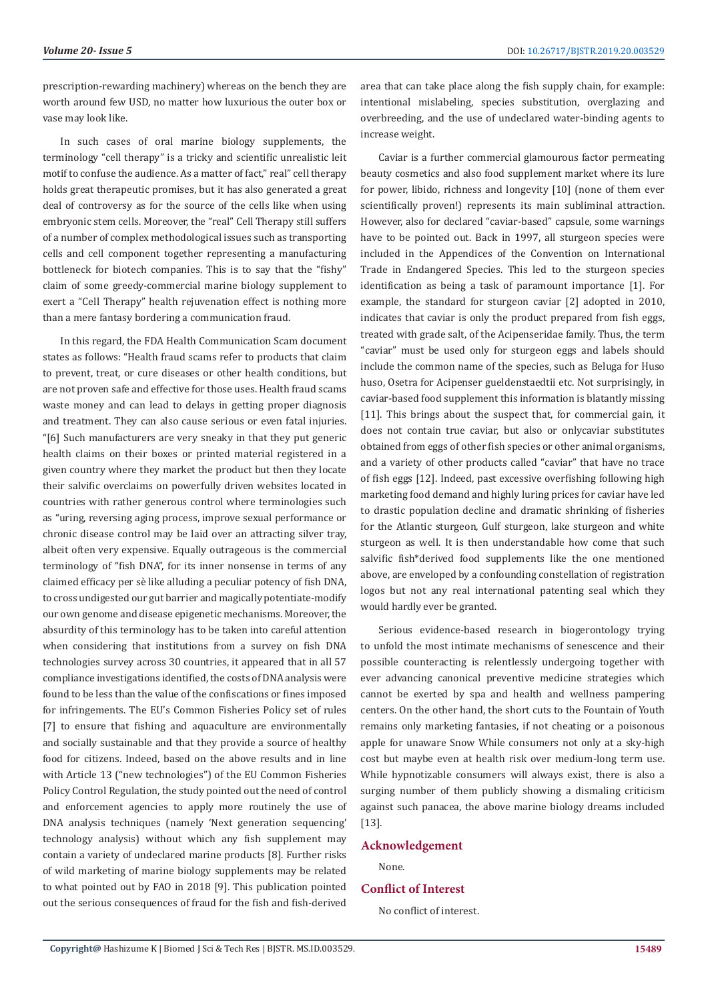prescription-rewarding machinery) whereas on the bench they are worth around few USD, no matter how luxurious the outer box or vase may look like.

In such cases of oral marine biology supplements, the terminology "cell therapy" is a tricky and scientific unrealistic leit motif to confuse the audience. As a matter of fact," real" cell therapy holds great therapeutic promises, but it has also generated a great deal of controversy as for the source of the cells like when using embryonic stem cells. Moreover, the "real" Cell Therapy still suffers of a number of complex methodological issues such as transporting cells and cell component together representing a manufacturing bottleneck for biotech companies. This is to say that the "fishy" claim of some greedy-commercial marine biology supplement to exert a "Cell Therapy" health rejuvenation effect is nothing more than a mere fantasy bordering a communication fraud.

In this regard, the FDA Health Communication Scam document states as follows: "Health fraud scams refer to products that claim to prevent, treat, or cure diseases or other health conditions, but are not proven safe and effective for those uses. Health fraud scams waste money and can lead to delays in getting proper diagnosis and treatment. They can also cause serious or even fatal injuries. "[6] Such manufacturers are very sneaky in that they put generic health claims on their boxes or printed material registered in a given country where they market the product but then they locate their salvific overclaims on powerfully driven websites located in countries with rather generous control where terminologies such as "uring, reversing aging process, improve sexual performance or chronic disease control may be laid over an attracting silver tray, albeit often very expensive. Equally outrageous is the commercial terminology of "fish DNA", for its inner nonsense in terms of any claimed efficacy per sè like alluding a peculiar potency of fish DNA, to cross undigested our gut barrier and magically potentiate-modify our own genome and disease epigenetic mechanisms. Moreover, the absurdity of this terminology has to be taken into careful attention when considering that institutions from a survey on fish DNA technologies survey across 30 countries, it appeared that in all 57 compliance investigations identified, the costs of DNA analysis were found to be less than the value of the confiscations or fines imposed for infringements. The EU's Common Fisheries Policy set of rules [7] to ensure that fishing and aquaculture are environmentally and socially sustainable and that they provide a source of healthy food for citizens. Indeed, based on the above results and in line with Article 13 ("new technologies") of the EU Common Fisheries Policy Control Regulation, the study pointed out the need of control and enforcement agencies to apply more routinely the use of DNA analysis techniques (namely 'Next generation sequencing' technology analysis) without which any fish supplement may contain a variety of undeclared marine products [8]. Further risks of wild marketing of marine biology supplements may be related to what pointed out by FAO in 2018 [9]. This publication pointed out the serious consequences of fraud for the fish and fish-derived

area that can take place along the fish supply chain, for example: intentional mislabeling, species substitution, overglazing and overbreeding, and the use of undeclared water-binding agents to increase weight.

Caviar is a further commercial glamourous factor permeating beauty cosmetics and also food supplement market where its lure for power, libido, richness and longevity [10] (none of them ever scientifically proven!) represents its main subliminal attraction. However, also for declared "caviar-based" capsule, some warnings have to be pointed out. Back in 1997, all sturgeon species were included in the Appendices of the Convention on International Trade in Endangered Species. This led to the sturgeon species identification as being a task of paramount importance [1]. For example, the standard for sturgeon caviar [2] adopted in 2010, indicates that caviar is only the product prepared from fish eggs, treated with grade salt, of the Acipenseridae family. Thus, the term "caviar" must be used only for sturgeon eggs and labels should include the common name of the species, such as Beluga for Huso huso, Osetra for Acipenser gueldenstaedtii etc. Not surprisingly, in caviar-based food supplement this information is blatantly missing [11]. This brings about the suspect that, for commercial gain, it does not contain true caviar, but also or onlycaviar substitutes obtained from eggs of other fish species or other animal organisms, and a variety of other products called "caviar" that have no trace of fish eggs [12]. Indeed, past excessive overfishing following high marketing food demand and highly luring prices for caviar have led to drastic population decline and dramatic shrinking of fisheries for the Atlantic sturgeon, Gulf sturgeon, lake sturgeon and white sturgeon as well. It is then understandable how come that such salvific fish\*derived food supplements like the one mentioned above, are enveloped by a confounding constellation of registration logos but not any real international patenting seal which they would hardly ever be granted.

Serious evidence-based research in biogerontology trying to unfold the most intimate mechanisms of senescence and their possible counteracting is relentlessly undergoing together with ever advancing canonical preventive medicine strategies which cannot be exerted by spa and health and wellness pampering centers. On the other hand, the short cuts to the Fountain of Youth remains only marketing fantasies, if not cheating or a poisonous apple for unaware Snow While consumers not only at a sky-high cost but maybe even at health risk over medium-long term use. While hypnotizable consumers will always exist, there is also a surging number of them publicly showing a dismaling criticism against such panacea, the above marine biology dreams included [13].

#### **Acknowledgement**

None.

#### **Conflict of Interest**

No conflict of interest.